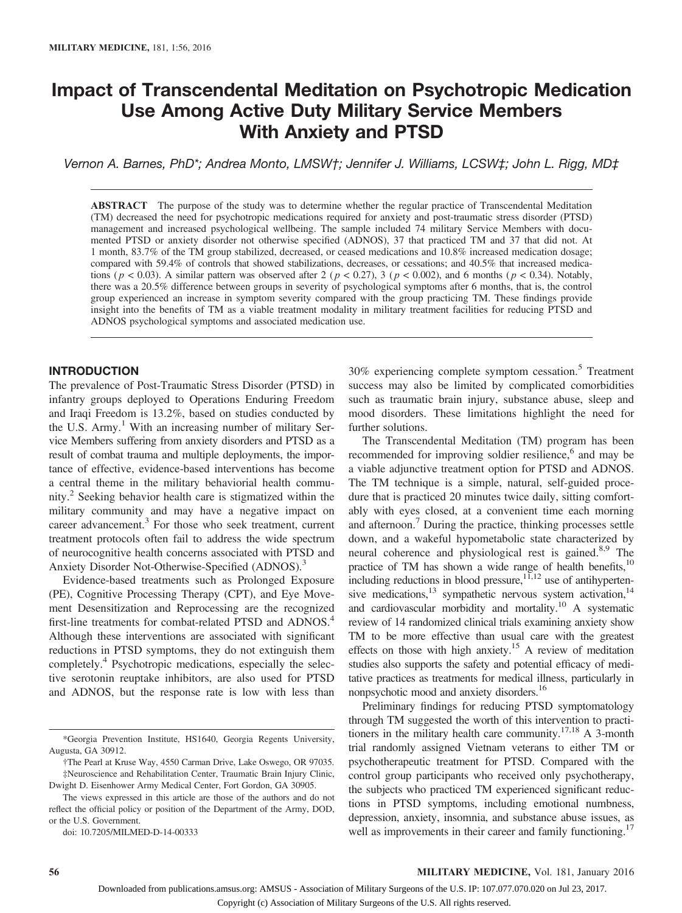# Impact of Transcendental Meditation on Psychotropic Medication Use Among Active Duty Military Service Members With Anxiety and PTSD

Vernon A. Barnes, PhD\*; Andrea Monto, LMSW†; Jennifer J. Williams, LCSW‡; John L. Rigg, MD‡

ABSTRACT The purpose of the study was to determine whether the regular practice of Transcendental Meditation (TM) decreased the need for psychotropic medications required for anxiety and post-traumatic stress disorder (PTSD) management and increased psychological wellbeing. The sample included 74 military Service Members with documented PTSD or anxiety disorder not otherwise specified (ADNOS), 37 that practiced TM and 37 that did not. At 1 month, 83.7% of the TM group stabilized, decreased, or ceased medications and 10.8% increased medication dosage; compared with 59.4% of controls that showed stabilizations, decreases, or cessations; and 40.5% that increased medications ( $p < 0.03$ ). A similar pattern was observed after 2 ( $p < 0.27$ ), 3 ( $p < 0.002$ ), and 6 months ( $p < 0.34$ ). Notably, there was a 20.5% difference between groups in severity of psychological symptoms after 6 months, that is, the control group experienced an increase in symptom severity compared with the group practicing TM. These findings provide insight into the benefits of TM as a viable treatment modality in military treatment facilities for reducing PTSD and ADNOS psychological symptoms and associated medication use.

# **INTRODUCTION**

The prevalence of Post-Traumatic Stress Disorder (PTSD) in infantry groups deployed to Operations Enduring Freedom and Iraqi Freedom is 13.2%, based on studies conducted by the U.S. Army.<sup>1</sup> With an increasing number of military Service Members suffering from anxiety disorders and PTSD as a result of combat trauma and multiple deployments, the importance of effective, evidence-based interventions has become a central theme in the military behaviorial health community.<sup>2</sup> Seeking behavior health care is stigmatized within the military community and may have a negative impact on career advancement.<sup>3</sup> For those who seek treatment, current treatment protocols often fail to address the wide spectrum of neurocognitive health concerns associated with PTSD and Anxiety Disorder Not-Otherwise-Specified (ADNOS).<sup>3</sup>

Evidence-based treatments such as Prolonged Exposure (PE), Cognitive Processing Therapy (CPT), and Eye Movement Desensitization and Reprocessing are the recognized first-line treatments for combat-related PTSD and ADNOS.<sup>4</sup> Although these interventions are associated with significant reductions in PTSD symptoms, they do not extinguish them completely.<sup>4</sup> Psychotropic medications, especially the selective serotonin reuptake inhibitors, are also used for PTSD and ADNOS, but the response rate is low with less than

doi: 10.7205/MILMED-D-14-00333

30% experiencing complete symptom cessation.5 Treatment success may also be limited by complicated comorbidities such as traumatic brain injury, substance abuse, sleep and mood disorders. These limitations highlight the need for further solutions.

The Transcendental Meditation (TM) program has been recommended for improving soldier resilience,<sup>6</sup> and may be a viable adjunctive treatment option for PTSD and ADNOS. The TM technique is a simple, natural, self-guided procedure that is practiced 20 minutes twice daily, sitting comfortably with eyes closed, at a convenient time each morning and afternoon.<sup>7</sup> During the practice, thinking processes settle down, and a wakeful hypometabolic state characterized by neural coherence and physiological rest is gained.<sup>8,9</sup> The practice of TM has shown a wide range of health benefits,<sup>10</sup> including reductions in blood pressure,  $11,12$  use of antihypertensive medications, $^{13}$  sympathetic nervous system activation, $^{14}$ and cardiovascular morbidity and mortality.<sup>10</sup> A systematic review of 14 randomized clinical trials examining anxiety show TM to be more effective than usual care with the greatest effects on those with high anxiety.15 A review of meditation studies also supports the safety and potential efficacy of meditative practices as treatments for medical illness, particularly in nonpsychotic mood and anxiety disorders.16

Preliminary findings for reducing PTSD symptomatology through TM suggested the worth of this intervention to practitioners in the military health care community.17,18 A 3-month trial randomly assigned Vietnam veterans to either TM or psychotherapeutic treatment for PTSD. Compared with the control group participants who received only psychotherapy, the subjects who practiced TM experienced significant reductions in PTSD symptoms, including emotional numbness, depression, anxiety, insomnia, and substance abuse issues, as well as improvements in their career and family functioning.<sup>17</sup>

<sup>\*</sup>Georgia Prevention Institute, HS1640, Georgia Regents University, Augusta, GA 30912.

<sup>†</sup>The Pearl at Kruse Way, 4550 Carman Drive, Lake Oswego, OR 97035. ‡Neuroscience and Rehabilitation Center, Traumatic Brain Injury Clinic, Dwight D. Eisenhower Army Medical Center, Fort Gordon, GA 30905.

The views expressed in this article are those of the authors and do not reflect the official policy or position of the Department of the Army, DOD, or the U.S. Government.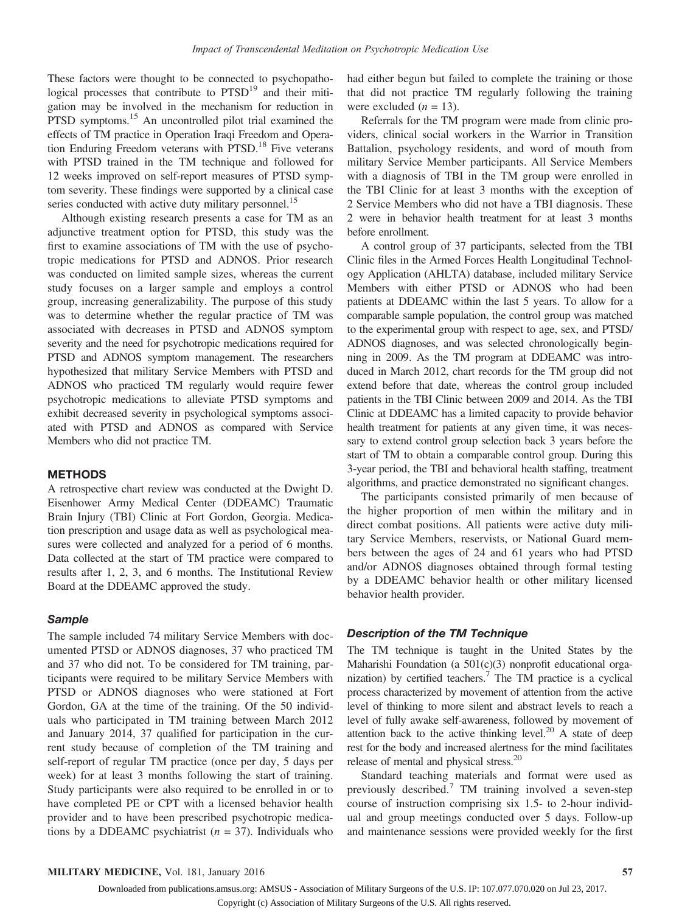These factors were thought to be connected to psychopathological processes that contribute to  $PTSD<sup>19</sup>$  and their mitigation may be involved in the mechanism for reduction in PTSD symptoms.<sup>15</sup> An uncontrolled pilot trial examined the effects of TM practice in Operation Iraqi Freedom and Operation Enduring Freedom veterans with PTSD.<sup>18</sup> Five veterans with PTSD trained in the TM technique and followed for 12 weeks improved on self-report measures of PTSD symptom severity. These findings were supported by a clinical case series conducted with active duty military personnel.<sup>15</sup>

Although existing research presents a case for TM as an adjunctive treatment option for PTSD, this study was the first to examine associations of TM with the use of psychotropic medications for PTSD and ADNOS. Prior research was conducted on limited sample sizes, whereas the current study focuses on a larger sample and employs a control group, increasing generalizability. The purpose of this study was to determine whether the regular practice of TM was associated with decreases in PTSD and ADNOS symptom severity and the need for psychotropic medications required for PTSD and ADNOS symptom management. The researchers hypothesized that military Service Members with PTSD and ADNOS who practiced TM regularly would require fewer psychotropic medications to alleviate PTSD symptoms and exhibit decreased severity in psychological symptoms associated with PTSD and ADNOS as compared with Service Members who did not practice TM.

#### **METHODS**

A retrospective chart review was conducted at the Dwight D. Eisenhower Army Medical Center (DDEAMC) Traumatic Brain Injury (TBI) Clinic at Fort Gordon, Georgia. Medication prescription and usage data as well as psychological measures were collected and analyzed for a period of 6 months. Data collected at the start of TM practice were compared to results after 1, 2, 3, and 6 months. The Institutional Review Board at the DDEAMC approved the study.

## **Sample**

The sample included 74 military Service Members with documented PTSD or ADNOS diagnoses, 37 who practiced TM and 37 who did not. To be considered for TM training, participants were required to be military Service Members with PTSD or ADNOS diagnoses who were stationed at Fort Gordon, GA at the time of the training. Of the 50 individuals who participated in TM training between March 2012 and January 2014, 37 qualified for participation in the current study because of completion of the TM training and self-report of regular TM practice (once per day, 5 days per week) for at least 3 months following the start of training. Study participants were also required to be enrolled in or to have completed PE or CPT with a licensed behavior health provider and to have been prescribed psychotropic medications by a DDEAMC psychiatrist ( $n = 37$ ). Individuals who

had either begun but failed to complete the training or those that did not practice TM regularly following the training were excluded  $(n = 13)$ .

Referrals for the TM program were made from clinic providers, clinical social workers in the Warrior in Transition Battalion, psychology residents, and word of mouth from military Service Member participants. All Service Members with a diagnosis of TBI in the TM group were enrolled in the TBI Clinic for at least 3 months with the exception of 2 Service Members who did not have a TBI diagnosis. These 2 were in behavior health treatment for at least 3 months before enrollment.

A control group of 37 participants, selected from the TBI Clinic files in the Armed Forces Health Longitudinal Technology Application (AHLTA) database, included military Service Members with either PTSD or ADNOS who had been patients at DDEAMC within the last 5 years. To allow for a comparable sample population, the control group was matched to the experimental group with respect to age, sex, and PTSD/ ADNOS diagnoses, and was selected chronologically beginning in 2009. As the TM program at DDEAMC was introduced in March 2012, chart records for the TM group did not extend before that date, whereas the control group included patients in the TBI Clinic between 2009 and 2014. As the TBI Clinic at DDEAMC has a limited capacity to provide behavior health treatment for patients at any given time, it was necessary to extend control group selection back 3 years before the start of TM to obtain a comparable control group. During this 3-year period, the TBI and behavioral health staffing, treatment algorithms, and practice demonstrated no significant changes.

The participants consisted primarily of men because of the higher proportion of men within the military and in direct combat positions. All patients were active duty military Service Members, reservists, or National Guard members between the ages of 24 and 61 years who had PTSD and/or ADNOS diagnoses obtained through formal testing by a DDEAMC behavior health or other military licensed behavior health provider.

# Description of the TM Technique

The TM technique is taught in the United States by the Maharishi Foundation (a 501(c)(3) nonprofit educational organization) by certified teachers.7 The TM practice is a cyclical process characterized by movement of attention from the active level of thinking to more silent and abstract levels to reach a level of fully awake self-awareness, followed by movement of attention back to the active thinking level. $^{20}$  A state of deep rest for the body and increased alertness for the mind facilitates release of mental and physical stress.<sup>20</sup>

Standard teaching materials and format were used as previously described.<sup>7</sup> TM training involved a seven-step course of instruction comprising six 1.5- to 2-hour individual and group meetings conducted over 5 days. Follow-up and maintenance sessions were provided weekly for the first

Downloaded from publications.amsus.org: AMSUS - Association of Military Surgeons of the U.S. IP: 107.077.070.020 on Jul 23, 2017. Copyright (c) Association of Military Surgeons of the U.S. All rights reserved.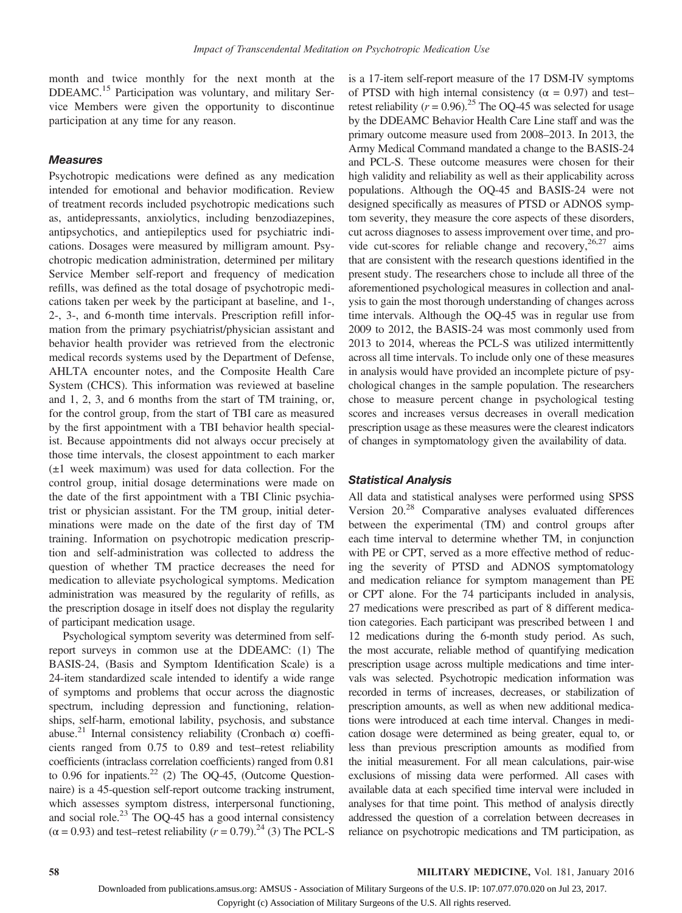month and twice monthly for the next month at the DDEAMC.<sup>15</sup> Participation was voluntary, and military Service Members were given the opportunity to discontinue participation at any time for any reason.

## **Measures**

Psychotropic medications were defined as any medication intended for emotional and behavior modification. Review of treatment records included psychotropic medications such as, antidepressants, anxiolytics, including benzodiazepines, antipsychotics, and antiepileptics used for psychiatric indications. Dosages were measured by milligram amount. Psychotropic medication administration, determined per military Service Member self-report and frequency of medication refills, was defined as the total dosage of psychotropic medications taken per week by the participant at baseline, and 1-, 2-, 3-, and 6-month time intervals. Prescription refill information from the primary psychiatrist/physician assistant and behavior health provider was retrieved from the electronic medical records systems used by the Department of Defense, AHLTA encounter notes, and the Composite Health Care System (CHCS). This information was reviewed at baseline and 1, 2, 3, and 6 months from the start of TM training, or, for the control group, from the start of TBI care as measured by the first appointment with a TBI behavior health specialist. Because appointments did not always occur precisely at those time intervals, the closest appointment to each marker (±1 week maximum) was used for data collection. For the control group, initial dosage determinations were made on the date of the first appointment with a TBI Clinic psychiatrist or physician assistant. For the TM group, initial determinations were made on the date of the first day of TM training. Information on psychotropic medication prescription and self-administration was collected to address the question of whether TM practice decreases the need for medication to alleviate psychological symptoms. Medication administration was measured by the regularity of refills, as the prescription dosage in itself does not display the regularity of participant medication usage.

Psychological symptom severity was determined from selfreport surveys in common use at the DDEAMC: (1) The BASIS-24, (Basis and Symptom Identification Scale) is a 24-item standardized scale intended to identify a wide range of symptoms and problems that occur across the diagnostic spectrum, including depression and functioning, relationships, self-harm, emotional lability, psychosis, and substance abuse.<sup>21</sup> Internal consistency reliability (Cronbach  $\alpha$ ) coefficients ranged from 0.75 to 0.89 and test–retest reliability coefficients (intraclass correlation coefficients) ranged from 0.81 to 0.96 for inpatients. $22$  (2) The OQ-45, (Outcome Questionnaire) is a 45-question self-report outcome tracking instrument, which assesses symptom distress, interpersonal functioning, and social role. $^{23}$  The OQ-45 has a good internal consistency  $(\alpha = 0.93)$  and test–retest reliability  $(r = 0.79)$ .<sup>24</sup> (3) The PCL-S is a 17-item self-report measure of the 17 DSM-IV symptoms of PTSD with high internal consistency ( $\alpha = 0.97$ ) and test– retest reliability ( $r = 0.96$ )<sup>25</sup> The OQ-45 was selected for usage by the DDEAMC Behavior Health Care Line staff and was the primary outcome measure used from 2008–2013. In 2013, the Army Medical Command mandated a change to the BASIS-24 and PCL-S. These outcome measures were chosen for their high validity and reliability as well as their applicability across populations. Although the OQ-45 and BASIS-24 were not designed specifically as measures of PTSD or ADNOS symptom severity, they measure the core aspects of these disorders, cut across diagnoses to assess improvement over time, and provide cut-scores for reliable change and recovery,  $26,27$  aims that are consistent with the research questions identified in the present study. The researchers chose to include all three of the aforementioned psychological measures in collection and analysis to gain the most thorough understanding of changes across time intervals. Although the OQ-45 was in regular use from 2009 to 2012, the BASIS-24 was most commonly used from 2013 to 2014, whereas the PCL-S was utilized intermittently across all time intervals. To include only one of these measures in analysis would have provided an incomplete picture of psychological changes in the sample population. The researchers chose to measure percent change in psychological testing scores and increases versus decreases in overall medication prescription usage as these measures were the clearest indicators of changes in symptomatology given the availability of data.

## Statistical Analysis

All data and statistical analyses were performed using SPSS Version 20.<sup>28</sup> Comparative analyses evaluated differences between the experimental (TM) and control groups after each time interval to determine whether TM, in conjunction with PE or CPT, served as a more effective method of reducing the severity of PTSD and ADNOS symptomatology and medication reliance for symptom management than PE or CPT alone. For the 74 participants included in analysis, 27 medications were prescribed as part of 8 different medication categories. Each participant was prescribed between 1 and 12 medications during the 6-month study period. As such, the most accurate, reliable method of quantifying medication prescription usage across multiple medications and time intervals was selected. Psychotropic medication information was recorded in terms of increases, decreases, or stabilization of prescription amounts, as well as when new additional medications were introduced at each time interval. Changes in medication dosage were determined as being greater, equal to, or less than previous prescription amounts as modified from the initial measurement. For all mean calculations, pair-wise exclusions of missing data were performed. All cases with available data at each specified time interval were included in analyses for that time point. This method of analysis directly addressed the question of a correlation between decreases in reliance on psychotropic medications and TM participation, as

Downloaded from publications.amsus.org: AMSUS - Association of Military Surgeons of the U.S. IP: 107.077.070.020 on Jul 23, 2017. Copyright (c) Association of Military Surgeons of the U.S. All rights reserved.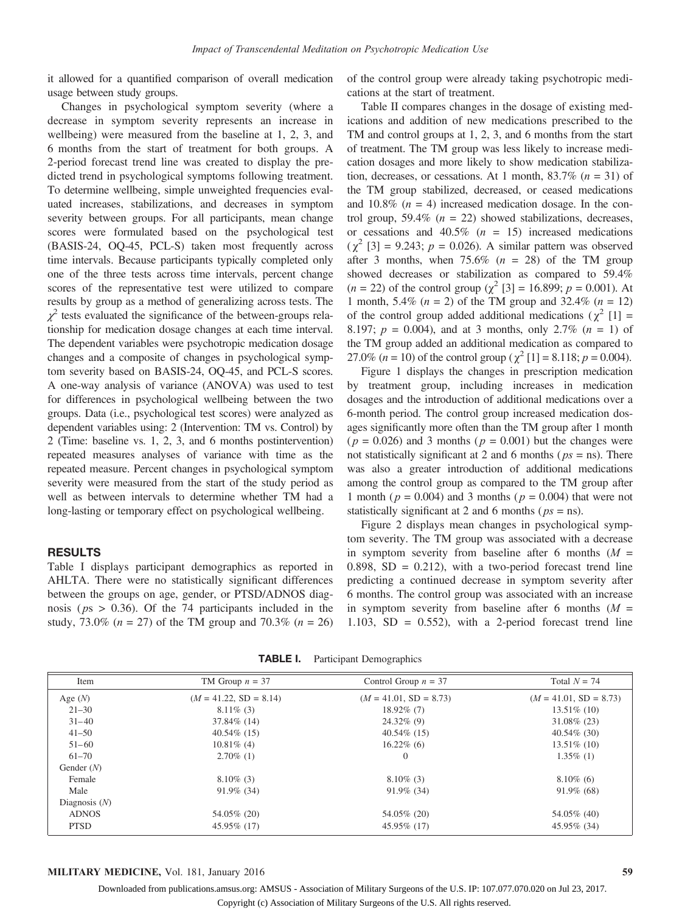it allowed for a quantified comparison of overall medication usage between study groups.

Changes in psychological symptom severity (where a decrease in symptom severity represents an increase in wellbeing) were measured from the baseline at 1, 2, 3, and 6 months from the start of treatment for both groups. A 2-period forecast trend line was created to display the predicted trend in psychological symptoms following treatment. To determine wellbeing, simple unweighted frequencies evaluated increases, stabilizations, and decreases in symptom severity between groups. For all participants, mean change scores were formulated based on the psychological test (BASIS-24, OQ-45, PCL-S) taken most frequently across time intervals. Because participants typically completed only one of the three tests across time intervals, percent change scores of the representative test were utilized to compare results by group as a method of generalizing across tests. The  $\chi^2$  tests evaluated the significance of the between-groups relationship for medication dosage changes at each time interval. The dependent variables were psychotropic medication dosage changes and a composite of changes in psychological symptom severity based on BASIS-24, OQ-45, and PCL-S scores. A one-way analysis of variance (ANOVA) was used to test for differences in psychological wellbeing between the two groups. Data (i.e., psychological test scores) were analyzed as dependent variables using: 2 (Intervention: TM vs. Control) by 2 (Time: baseline vs. 1, 2, 3, and 6 months postintervention) repeated measures analyses of variance with time as the repeated measure. Percent changes in psychological symptom severity were measured from the start of the study period as well as between intervals to determine whether TM had a long-lasting or temporary effect on psychological wellbeing.

#### RESULTS

Table I displays participant demographics as reported in AHLTA. There were no statistically significant differences between the groups on age, gender, or PTSD/ADNOS diagnosis ( $ps > 0.36$ ). Of the 74 participants included in the study, 73.0% ( $n = 27$ ) of the TM group and 70.3% ( $n = 26$ ) of the control group were already taking psychotropic medications at the start of treatment.

Table II compares changes in the dosage of existing medications and addition of new medications prescribed to the TM and control groups at 1, 2, 3, and 6 months from the start of treatment. The TM group was less likely to increase medication dosages and more likely to show medication stabilization, decreases, or cessations. At 1 month,  $83.7\%$  ( $n = 31$ ) of the TM group stabilized, decreased, or ceased medications and  $10.8\%$  ( $n = 4$ ) increased medication dosage. In the control group, 59.4% ( $n = 22$ ) showed stabilizations, decreases, or cessations and  $40.5\%$  ( $n = 15$ ) increased medications  $(\chi^2$  [3] = 9.243;  $p = 0.026$ ). A similar pattern was observed after 3 months, when  $75.6\%$  ( $n = 28$ ) of the TM group showed decreases or stabilization as compared to 59.4%  $(n = 22)$  of the control group  $(\chi^2 \mid 3] = 16.899$ ;  $p = 0.001$ ). At 1 month, 5.4% ( $n = 2$ ) of the TM group and 32.4% ( $n = 12$ ) of the control group added additional medications ( $\chi^2$  [1] = 8.197;  $p = 0.004$ ), and at 3 months, only 2.7% ( $n = 1$ ) of the TM group added an additional medication as compared to 27.0% ( $n = 10$ ) of the control group ( $\chi^2$  [1] = 8.118;  $p = 0.004$ ).

Figure 1 displays the changes in prescription medication by treatment group, including increases in medication dosages and the introduction of additional medications over a 6-month period. The control group increased medication dosages significantly more often than the TM group after 1 month  $(p = 0.026)$  and 3 months  $(p = 0.001)$  but the changes were not statistically significant at 2 and 6 months ( $ps = ns$ ). There was also a greater introduction of additional medications among the control group as compared to the TM group after 1 month ( $p = 0.004$ ) and 3 months ( $p = 0.004$ ) that were not statistically significant at 2 and 6 months ( $ps = ns$ ).

Figure 2 displays mean changes in psychological symptom severity. The TM group was associated with a decrease in symptom severity from baseline after 6 months  $(M =$ 0.898,  $SD = 0.212$ ), with a two-period forecast trend line predicting a continued decrease in symptom severity after 6 months. The control group was associated with an increase in symptom severity from baseline after 6 months  $(M =$ 1.103,  $SD = 0.552$ , with a 2-period forecast trend line

| Item            | TM Group $n = 37$        | Control Group $n = 37$   | Total $N = 74$           |
|-----------------|--------------------------|--------------------------|--------------------------|
| Age $(N)$       | $(M = 41.22, SD = 8.14)$ | $(M = 41.01, SD = 8.73)$ | $(M = 41.01, SD = 8.73)$ |
| $21 - 30$       | $8.11\%$ (3)             | $18.92\%$ (7)            | $13.51\%$ (10)           |
| $31 - 40$       | 37.84\% (14)             | $24.32\%$ (9)            | $31.08\%$ (23)           |
| $41 - 50$       | $40.54\%$ (15)           | $40.54\%$ (15)           | $40.54\%$ (30)           |
| $51 - 60$       | $10.81\%$ (4)            | $16.22\%$ (6)            | $13.51\%$ (10)           |
| 61-70           | $2.70\%$ (1)             | $\Omega$                 | $1.35\%$ (1)             |
| Gender $(N)$    |                          |                          |                          |
| Female          | $8.10\%$ (3)             | $8.10\%$ (3)             | $8.10\%$ (6)             |
| Male            | 91.9% (34)               | $91.9\%$ (34)            | $91.9\%$ (68)            |
| Diagnosis $(N)$ |                          |                          |                          |
| <b>ADNOS</b>    | 54.05% (20)              | 54.05% (20)              | 54.05% (40)              |
| <b>PTSD</b>     | 45.95% (17)              | 45.95% (17)              | 45.95% (34)              |

TABLE I. Participant Demographics

#### MILITARY MEDICINE, Vol. 181, January 2016 59

Downloaded from publications.amsus.org: AMSUS - Association of Military Surgeons of the U.S. IP: 107.077.070.020 on Jul 23, 2017. Copyright (c) Association of Military Surgeons of the U.S. All rights reserved.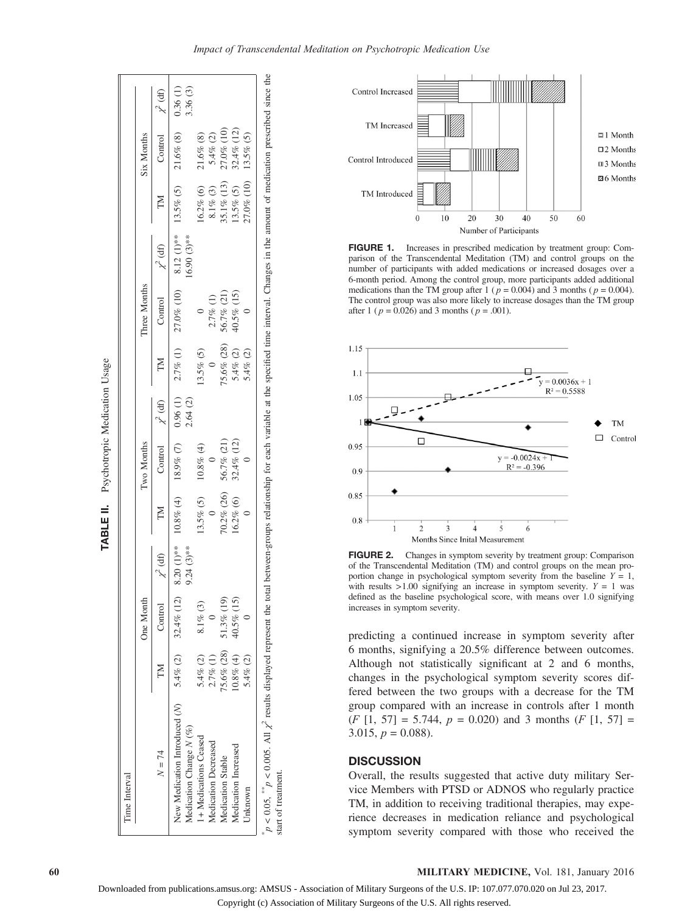|                                                         |             | One Month                   |              |                | Two Months            |          |             | Three Months                                                                                                                        |               |              | Six Months            |         |
|---------------------------------------------------------|-------------|-----------------------------|--------------|----------------|-----------------------|----------|-------------|-------------------------------------------------------------------------------------------------------------------------------------|---------------|--------------|-----------------------|---------|
| $N = 74$                                                | F           | Control                     | $\chi'$ (df) | M              | Control $\chi^2$ (df) |          | M           | Control $\chi^2$ (df)                                                                                                               |               | <b>NL</b>    | Control $\chi^2$ (df) |         |
| New Medication Introduced (N) $5.4\%$ (2) $32.4\%$ (12) |             |                             |              |                |                       |          |             | $8.20(1)^{**}$ 10.8% (4) $8\%$ (4) $8\%$ (7) $2.7\%$ (1) $2.7\%$ (1) $2.7\%$ (7) $8.12$ (7) $8.21.6\%$ (5) $8\%$ (8) $8.21.6\%$ (8) |               |              |                       | 0.36(1) |
| Medication Change $N$ (%)                               |             |                             | $9.24(3)**$  |                |                       | 2.64 (2) |             |                                                                                                                                     | $(6.90(3)$ ** |              |                       | 3.36(3) |
| 1+ Medications Ceased                                   | $5.4\%(2)$  | $8.1\%$ (3)                 |              | $13.5\%$ (5)   | $10.8\%$ (4)          |          | $13.5%$ (5) |                                                                                                                                     |               | $16.2\%$ (6) | 21.6% (8)             |         |
| Medication Decreased                                    | 2.7% (1)    |                             |              | $\overline{0}$ |                       |          |             | $2.7\%$ (1)                                                                                                                         |               | $8.1\%$ (3)  | 5.4% (2)              |         |
| Medication Stable                                       |             | $75.6\%$ (28) $51.3\%$ (19) |              | 70.2% (26)     | 56.7% (21)            |          | 75.6% (28)  | 56.7% (21)                                                                                                                          |               | 35.1% (13)   | 27.0% (10)            |         |
| Medication Increased                                    | $0.8\%$ (4) | 40.5% (15)                  |              | $16.2\%$ (6)   | 32.4% (12)            |          | $5.4\%$ (2) | 40.5% (15)                                                                                                                          |               | $13.5\%$ (5) | 32.4% (12)            |         |
| Unknown                                                 | 5.4% (2)    |                             |              |                |                       |          | 5.4% (2)    |                                                                                                                                     |               | 27.0% (10)   | 13.5% (5)             |         |

TABLE II. Psychotropic Medication Usage

**TABLE II.** 

Psychotropic Medication Usage



FIGURE 1. Increases in prescribed medication by treatment group: Comparison of the Transcendental Meditation (TM) and control groups on the number of participants with added medications or increased dosages over a 6-month period. Among the control group, more participants added additional medications than the TM group after 1 ( $p = 0.004$ ) and 3 months ( $p = 0.004$ ). The control group was also more likely to increase dosages than the TM group after 1 ( $p = 0.026$ ) and 3 months ( $p = .001$ ).



FIGURE 2. Changes in symptom severity by treatment group: Comparison of the Transcendental Meditation (TM) and control groups on the mean proportion change in psychological symptom severity from the baseline  $Y = 1$ , with results  $>1.00$  signifying an increase in symptom severity.  $Y = 1$  was defined as the baseline psychological score, with means over 1.0 signifying increases in symptom severity.

predicting a continued increase in symptom severity after 6 months, signifying a 20.5% difference between outcomes. Although not statistically significant at 2 and 6 months, changes in the psychological symptom severity scores differed between the two groups with a decrease for the TM group compared with an increase in controls after 1 month  $(F [1, 57] = 5.744, p = 0.020)$  and 3 months  $(F [1, 57] =$ 3.015,  $p = 0.088$ ).

# **DISCUSSION**

Overall, the results suggested that active duty military Service Members with PTSD or ADNOS who regularly practice TM, in addition to receiving traditional therapies, may experience decreases in medication reliance and psychological symptom severity compared with those who received the

Downloaded from publications.amsus.org: AMSUS - Association of Military Surgeons of the U.S. IP: 107.077.070.020 on Jul 23, 2017.

\*

start of treatment.

start of treatment

Copyright (c) Association of Military Surgeons of the U.S. All rights reserved.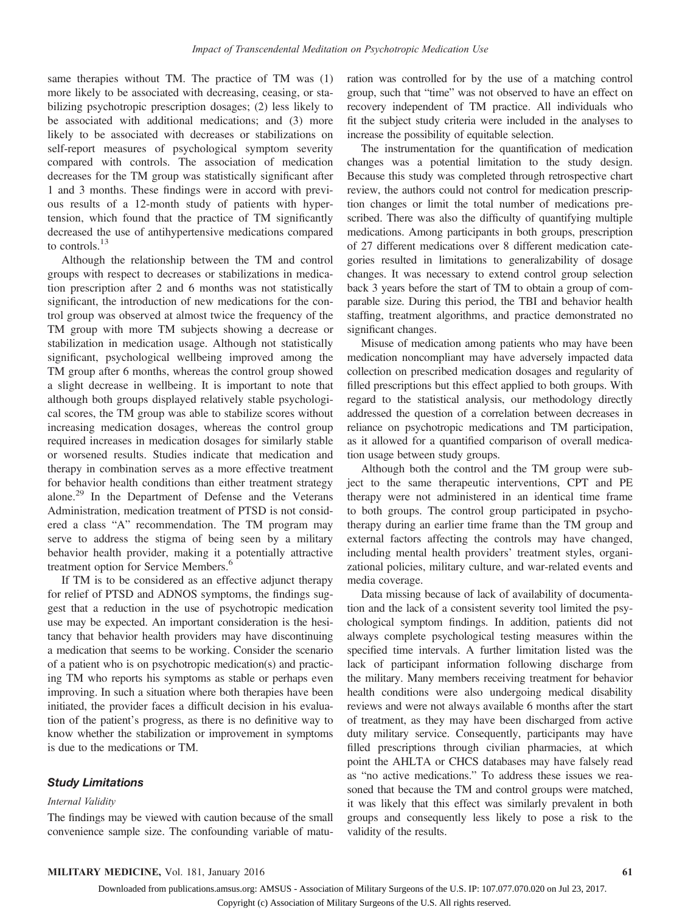same therapies without TM. The practice of TM was (1) more likely to be associated with decreasing, ceasing, or stabilizing psychotropic prescription dosages; (2) less likely to be associated with additional medications; and (3) more likely to be associated with decreases or stabilizations on self-report measures of psychological symptom severity compared with controls. The association of medication decreases for the TM group was statistically significant after 1 and 3 months. These findings were in accord with previous results of a 12-month study of patients with hypertension, which found that the practice of TM significantly decreased the use of antihypertensive medications compared to controls.<sup>13</sup>

Although the relationship between the TM and control groups with respect to decreases or stabilizations in medication prescription after 2 and 6 months was not statistically significant, the introduction of new medications for the control group was observed at almost twice the frequency of the TM group with more TM subjects showing a decrease or stabilization in medication usage. Although not statistically significant, psychological wellbeing improved among the TM group after 6 months, whereas the control group showed a slight decrease in wellbeing. It is important to note that although both groups displayed relatively stable psychological scores, the TM group was able to stabilize scores without increasing medication dosages, whereas the control group required increases in medication dosages for similarly stable or worsened results. Studies indicate that medication and therapy in combination serves as a more effective treatment for behavior health conditions than either treatment strategy alone.<sup>29</sup> In the Department of Defense and the Veterans Administration, medication treatment of PTSD is not considered a class "A" recommendation. The TM program may serve to address the stigma of being seen by a military behavior health provider, making it a potentially attractive treatment option for Service Members.<sup>6</sup>

If TM is to be considered as an effective adjunct therapy for relief of PTSD and ADNOS symptoms, the findings suggest that a reduction in the use of psychotropic medication use may be expected. An important consideration is the hesitancy that behavior health providers may have discontinuing a medication that seems to be working. Consider the scenario of a patient who is on psychotropic medication(s) and practicing TM who reports his symptoms as stable or perhaps even improving. In such a situation where both therapies have been initiated, the provider faces a difficult decision in his evaluation of the patient's progress, as there is no definitive way to know whether the stabilization or improvement in symptoms is due to the medications or TM.

#### Study Limitations

#### Internal Validity

The findings may be viewed with caution because of the small convenience sample size. The confounding variable of maturation was controlled for by the use of a matching control group, such that "time" was not observed to have an effect on recovery independent of TM practice. All individuals who fit the subject study criteria were included in the analyses to increase the possibility of equitable selection.

The instrumentation for the quantification of medication changes was a potential limitation to the study design. Because this study was completed through retrospective chart review, the authors could not control for medication prescription changes or limit the total number of medications prescribed. There was also the difficulty of quantifying multiple medications. Among participants in both groups, prescription of 27 different medications over 8 different medication categories resulted in limitations to generalizability of dosage changes. It was necessary to extend control group selection back 3 years before the start of TM to obtain a group of comparable size. During this period, the TBI and behavior health staffing, treatment algorithms, and practice demonstrated no significant changes.

Misuse of medication among patients who may have been medication noncompliant may have adversely impacted data collection on prescribed medication dosages and regularity of filled prescriptions but this effect applied to both groups. With regard to the statistical analysis, our methodology directly addressed the question of a correlation between decreases in reliance on psychotropic medications and TM participation, as it allowed for a quantified comparison of overall medication usage between study groups.

Although both the control and the TM group were subject to the same therapeutic interventions, CPT and PE therapy were not administered in an identical time frame to both groups. The control group participated in psychotherapy during an earlier time frame than the TM group and external factors affecting the controls may have changed, including mental health providers' treatment styles, organizational policies, military culture, and war-related events and media coverage.

Data missing because of lack of availability of documentation and the lack of a consistent severity tool limited the psychological symptom findings. In addition, patients did not always complete psychological testing measures within the specified time intervals. A further limitation listed was the lack of participant information following discharge from the military. Many members receiving treatment for behavior health conditions were also undergoing medical disability reviews and were not always available 6 months after the start of treatment, as they may have been discharged from active duty military service. Consequently, participants may have filled prescriptions through civilian pharmacies, at which point the AHLTA or CHCS databases may have falsely read as "no active medications." To address these issues we reasoned that because the TM and control groups were matched, it was likely that this effect was similarly prevalent in both groups and consequently less likely to pose a risk to the validity of the results.

Downloaded from publications.amsus.org: AMSUS - Association of Military Surgeons of the U.S. IP: 107.077.070.020 on Jul 23, 2017. Copyright (c) Association of Military Surgeons of the U.S. All rights reserved.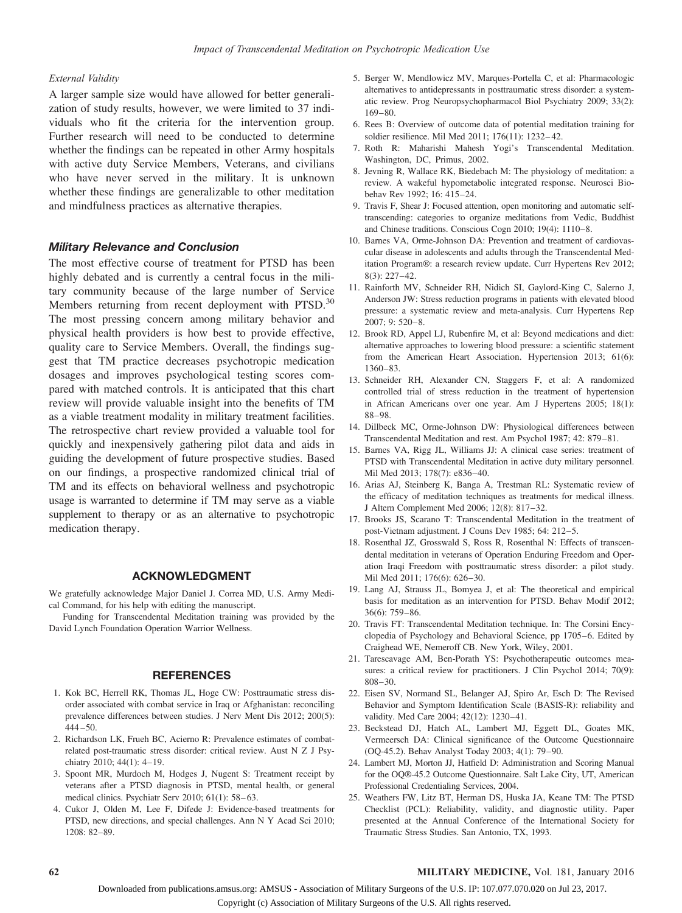#### External Validity

A larger sample size would have allowed for better generalization of study results, however, we were limited to 37 individuals who fit the criteria for the intervention group. Further research will need to be conducted to determine whether the findings can be repeated in other Army hospitals with active duty Service Members, Veterans, and civilians who have never served in the military. It is unknown whether these findings are generalizable to other meditation and mindfulness practices as alternative therapies.

#### Military Relevance and Conclusion

The most effective course of treatment for PTSD has been highly debated and is currently a central focus in the military community because of the large number of Service Members returning from recent deployment with PTSD.<sup>30</sup> The most pressing concern among military behavior and physical health providers is how best to provide effective, quality care to Service Members. Overall, the findings suggest that TM practice decreases psychotropic medication dosages and improves psychological testing scores compared with matched controls. It is anticipated that this chart review will provide valuable insight into the benefits of TM as a viable treatment modality in military treatment facilities. The retrospective chart review provided a valuable tool for quickly and inexpensively gathering pilot data and aids in guiding the development of future prospective studies. Based on our findings, a prospective randomized clinical trial of TM and its effects on behavioral wellness and psychotropic usage is warranted to determine if TM may serve as a viable supplement to therapy or as an alternative to psychotropic medication therapy.

# ACKNOWLEDGMENT

We gratefully acknowledge Major Daniel J. Correa MD, U.S. Army Medical Command, for his help with editing the manuscript.

Funding for Transcendental Meditation training was provided by the David Lynch Foundation Operation Warrior Wellness.

#### **REFERENCES**

- 1. Kok BC, Herrell RK, Thomas JL, Hoge CW: Posttraumatic stress disorder associated with combat service in Iraq or Afghanistan: reconciling prevalence differences between studies. J Nerv Ment Dis 2012; 200(5):  $444 - 50$ .
- 2. Richardson LK, Frueh BC, Acierno R: Prevalence estimates of combatrelated post-traumatic stress disorder: critical review. Aust N Z J Psychiatry 2010; 44(1): 4–19.
- 3. Spoont MR, Murdoch M, Hodges J, Nugent S: Treatment receipt by veterans after a PTSD diagnosis in PTSD, mental health, or general medical clinics. Psychiatr Serv 2010; 61(1): 58–63.
- 4. Cukor J, Olden M, Lee F, Difede J: Evidence-based treatments for PTSD, new directions, and special challenges. Ann N Y Acad Sci 2010; 1208: 82–89.
- 5. Berger W, Mendlowicz MV, Marques-Portella C, et al: Pharmacologic alternatives to antidepressants in posttraumatic stress disorder: a systematic review. Prog Neuropsychopharmacol Biol Psychiatry 2009; 33(2): 169–80.
- 6. Rees B: Overview of outcome data of potential meditation training for soldier resilience. Mil Med 2011; 176(11): 1232– 42.
- 7. Roth R: Maharishi Mahesh Yogi's Transcendental Meditation. Washington, DC, Primus, 2002.
- 8. Jevning R, Wallace RK, Biedebach M: The physiology of meditation: a review. A wakeful hypometabolic integrated response. Neurosci Biobehav Rev 1992; 16: 415–24.
- 9. Travis F, Shear J: Focused attention, open monitoring and automatic selftranscending: categories to organize meditations from Vedic, Buddhist and Chinese traditions. Conscious Cogn 2010; 19(4): 1110–8.
- 10. Barnes VA, Orme-Johnson DA: Prevention and treatment of cardiovascular disease in adolescents and adults through the Transcendental Meditation Program®: a research review update. Curr Hypertens Rev 2012; 8(3): 227–42.
- 11. Rainforth MV, Schneider RH, Nidich SI, Gaylord-King C, Salerno J, Anderson JW: Stress reduction programs in patients with elevated blood pressure: a systematic review and meta-analysis. Curr Hypertens Rep 2007; 9: 520–8.
- 12. Brook RD, Appel LJ, Rubenfire M, et al: Beyond medications and diet: alternative approaches to lowering blood pressure: a scientific statement from the American Heart Association. Hypertension 2013; 61(6): 1360–83.
- 13. Schneider RH, Alexander CN, Staggers F, et al: A randomized controlled trial of stress reduction in the treatment of hypertension in African Americans over one year. Am J Hypertens 2005; 18(1): 88–98.
- 14. Dillbeck MC, Orme-Johnson DW: Physiological differences between Transcendental Meditation and rest. Am Psychol 1987; 42: 879–81.
- 15. Barnes VA, Rigg JL, Williams JJ: A clinical case series: treatment of PTSD with Transcendental Meditation in active duty military personnel. Mil Med 2013; 178(7): e836–40.
- 16. Arias AJ, Steinberg K, Banga A, Trestman RL: Systematic review of the efficacy of meditation techniques as treatments for medical illness. J Altern Complement Med 2006; 12(8): 817–32.
- 17. Brooks JS, Scarano T: Transcendental Meditation in the treatment of post-Vietnam adjustment. J Couns Dev 1985; 64: 212–5.
- 18. Rosenthal JZ, Grosswald S, Ross R, Rosenthal N: Effects of transcendental meditation in veterans of Operation Enduring Freedom and Operation Iraqi Freedom with posttraumatic stress disorder: a pilot study. Mil Med 2011; 176(6): 626–30.
- 19. Lang AJ, Strauss JL, Bomyea J, et al: The theoretical and empirical basis for meditation as an intervention for PTSD. Behav Modif 2012; 36(6): 759–86.
- 20. Travis FT: Transcendental Meditation technique. In: The Corsini Encyclopedia of Psychology and Behavioral Science, pp 1705–6. Edited by Craighead WE, Nemeroff CB. New York, Wiley, 2001.
- 21. Tarescavage AM, Ben-Porath YS: Psychotherapeutic outcomes measures: a critical review for practitioners. J Clin Psychol 2014; 70(9): 808–30.
- 22. Eisen SV, Normand SL, Belanger AJ, Spiro Ar, Esch D: The Revised Behavior and Symptom Identification Scale (BASIS-R): reliability and validity. Med Care 2004; 42(12): 1230–41.
- 23. Beckstead DJ, Hatch AL, Lambert MJ, Eggett DL, Goates MK, Vermeersch DA: Clinical significance of the Outcome Questionnaire (OQ-45.2). Behav Analyst Today 2003; 4(1): 79–90.
- 24. Lambert MJ, Morton JJ, Hatfield D: Administration and Scoring Manual for the OQ®-45.2 Outcome Questionnaire. Salt Lake City, UT, American Professional Credentialing Services, 2004.
- 25. Weathers FW, Litz BT, Herman DS, Huska JA, Keane TM: The PTSD Checklist (PCL): Reliability, validity, and diagnostic utility. Paper presented at the Annual Conference of the International Society for Traumatic Stress Studies. San Antonio, TX, 1993.